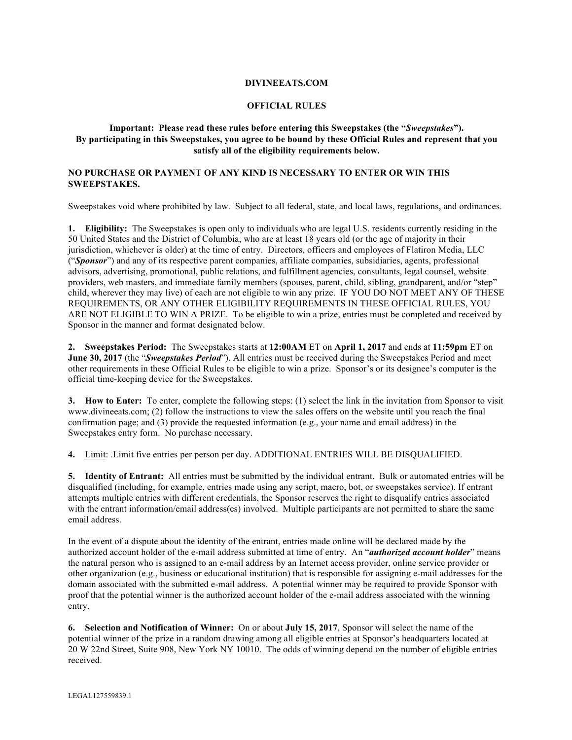## **DIVINEEATS.COM**

## **OFFICIAL RULES**

## **Important: Please read these rules before entering this Sweepstakes (the "***Sweepstakes***"). By participating in this Sweepstakes, you agree to be bound by these Official Rules and represent that you satisfy all of the eligibility requirements below.**

## **NO PURCHASE OR PAYMENT OF ANY KIND IS NECESSARY TO ENTER OR WIN THIS SWEEPSTAKES.**

Sweepstakes void where prohibited by law. Subject to all federal, state, and local laws, regulations, and ordinances.

**1. Eligibility:** The Sweepstakes is open only to individuals who are legal U.S. residents currently residing in the 50 United States and the District of Columbia, who are at least 18 years old (or the age of majority in their jurisdiction, whichever is older) at the time of entry. Directors, officers and employees of Flatiron Media, LLC ("*Sponsor*") and any of its respective parent companies, affiliate companies, subsidiaries, agents, professional advisors, advertising, promotional, public relations, and fulfillment agencies, consultants, legal counsel, website providers, web masters, and immediate family members (spouses, parent, child, sibling, grandparent, and/or "step" child, wherever they may live) of each are not eligible to win any prize. IF YOU DO NOT MEET ANY OF THESE REQUIREMENTS, OR ANY OTHER ELIGIBILITY REQUIREMENTS IN THESE OFFICIAL RULES, YOU ARE NOT ELIGIBLE TO WIN A PRIZE. To be eligible to win a prize, entries must be completed and received by Sponsor in the manner and format designated below.

**2. Sweepstakes Period:** The Sweepstakes starts at **12:00AM** ET on **April 1, 2017** and ends at **11:59pm** ET on **June 30, 2017** (the "*Sweepstakes Period*"). All entries must be received during the Sweepstakes Period and meet other requirements in these Official Rules to be eligible to win a prize. Sponsor's or its designee's computer is the official time-keeping device for the Sweepstakes.

**3. How to Enter:** To enter, complete the following steps: (1) select the link in the invitation from Sponsor to visit www.divineeats.com; (2) follow the instructions to view the sales offers on the website until you reach the final confirmation page; and (3) provide the requested information (e.g., your name and email address) in the Sweepstakes entry form. No purchase necessary.

**4.** Limit: .Limit five entries per person per day. ADDITIONAL ENTRIES WILL BE DISQUALIFIED.

**5. Identity of Entrant:** All entries must be submitted by the individual entrant. Bulk or automated entries will be disqualified (including, for example, entries made using any script, macro, bot, or sweepstakes service). If entrant attempts multiple entries with different credentials, the Sponsor reserves the right to disqualify entries associated with the entrant information/email address(es) involved. Multiple participants are not permitted to share the same email address.

In the event of a dispute about the identity of the entrant, entries made online will be declared made by the authorized account holder of the e-mail address submitted at time of entry. An "*authorized account holder*" means the natural person who is assigned to an e-mail address by an Internet access provider, online service provider or other organization (e.g., business or educational institution) that is responsible for assigning e-mail addresses for the domain associated with the submitted e-mail address. A potential winner may be required to provide Sponsor with proof that the potential winner is the authorized account holder of the e-mail address associated with the winning entry.

**6. Selection and Notification of Winner:** On or about **July 15, 2017**, Sponsor will select the name of the potential winner of the prize in a random drawing among all eligible entries at Sponsor's headquarters located at 20 W 22nd Street, Suite 908, New York NY 10010. The odds of winning depend on the number of eligible entries received.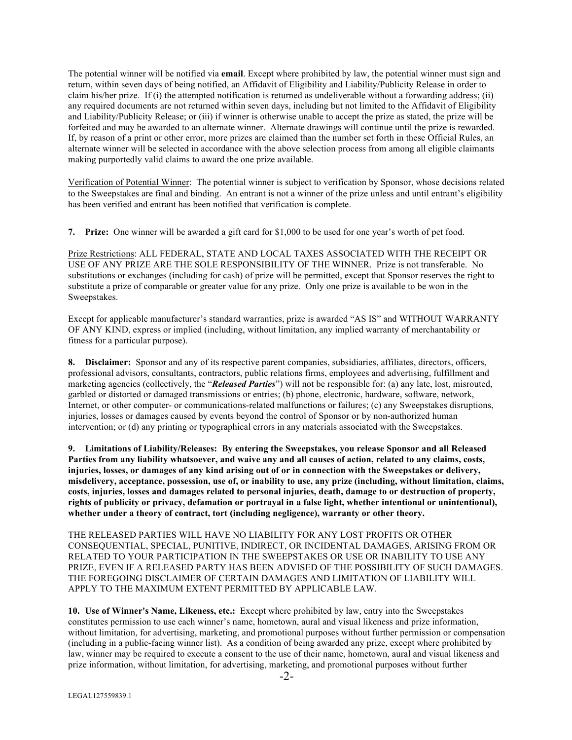The potential winner will be notified via **email**. Except where prohibited by law, the potential winner must sign and return, within seven days of being notified, an Affidavit of Eligibility and Liability/Publicity Release in order to claim his/her prize. If (i) the attempted notification is returned as undeliverable without a forwarding address; (ii) any required documents are not returned within seven days, including but not limited to the Affidavit of Eligibility and Liability/Publicity Release; or (iii) if winner is otherwise unable to accept the prize as stated, the prize will be forfeited and may be awarded to an alternate winner. Alternate drawings will continue until the prize is rewarded. If, by reason of a print or other error, more prizes are claimed than the number set forth in these Official Rules, an alternate winner will be selected in accordance with the above selection process from among all eligible claimants making purportedly valid claims to award the one prize available.

Verification of Potential Winner: The potential winner is subject to verification by Sponsor, whose decisions related to the Sweepstakes are final and binding. An entrant is not a winner of the prize unless and until entrant's eligibility has been verified and entrant has been notified that verification is complete.

**7. Prize:** One winner will be awarded a gift card for \$1,000 to be used for one year's worth of pet food.

Prize Restrictions: ALL FEDERAL, STATE AND LOCAL TAXES ASSOCIATED WITH THE RECEIPT OR USE OF ANY PRIZE ARE THE SOLE RESPONSIBILITY OF THE WINNER. Prize is not transferable. No substitutions or exchanges (including for cash) of prize will be permitted, except that Sponsor reserves the right to substitute a prize of comparable or greater value for any prize. Only one prize is available to be won in the Sweepstakes.

Except for applicable manufacturer's standard warranties, prize is awarded "AS IS" and WITHOUT WARRANTY OF ANY KIND, express or implied (including, without limitation, any implied warranty of merchantability or fitness for a particular purpose).

**8. Disclaimer:** Sponsor and any of its respective parent companies, subsidiaries, affiliates, directors, officers, professional advisors, consultants, contractors, public relations firms, employees and advertising, fulfillment and marketing agencies (collectively, the "*Released Parties*") will not be responsible for: (a) any late, lost, misrouted, garbled or distorted or damaged transmissions or entries; (b) phone, electronic, hardware, software, network, Internet, or other computer- or communications-related malfunctions or failures; (c) any Sweepstakes disruptions, injuries, losses or damages caused by events beyond the control of Sponsor or by non-authorized human intervention; or (d) any printing or typographical errors in any materials associated with the Sweepstakes.

**9. Limitations of Liability/Releases: By entering the Sweepstakes, you release Sponsor and all Released Parties from any liability whatsoever, and waive any and all causes of action, related to any claims, costs, injuries, losses, or damages of any kind arising out of or in connection with the Sweepstakes or delivery, misdelivery, acceptance, possession, use of, or inability to use, any prize (including, without limitation, claims, costs, injuries, losses and damages related to personal injuries, death, damage to or destruction of property, rights of publicity or privacy, defamation or portrayal in a false light, whether intentional or unintentional), whether under a theory of contract, tort (including negligence), warranty or other theory.**

THE RELEASED PARTIES WILL HAVE NO LIABILITY FOR ANY LOST PROFITS OR OTHER CONSEQUENTIAL, SPECIAL, PUNITIVE, INDIRECT, OR INCIDENTAL DAMAGES, ARISING FROM OR RELATED TO YOUR PARTICIPATION IN THE SWEEPSTAKES OR USE OR INABILITY TO USE ANY PRIZE, EVEN IF A RELEASED PARTY HAS BEEN ADVISED OF THE POSSIBILITY OF SUCH DAMAGES. THE FOREGOING DISCLAIMER OF CERTAIN DAMAGES AND LIMITATION OF LIABILITY WILL APPLY TO THE MAXIMUM EXTENT PERMITTED BY APPLICABLE LAW.

**10. Use of Winner's Name, Likeness, etc.:** Except where prohibited by law, entry into the Sweepstakes constitutes permission to use each winner's name, hometown, aural and visual likeness and prize information, without limitation, for advertising, marketing, and promotional purposes without further permission or compensation (including in a public-facing winner list). As a condition of being awarded any prize, except where prohibited by law, winner may be required to execute a consent to the use of their name, hometown, aural and visual likeness and prize information, without limitation, for advertising, marketing, and promotional purposes without further